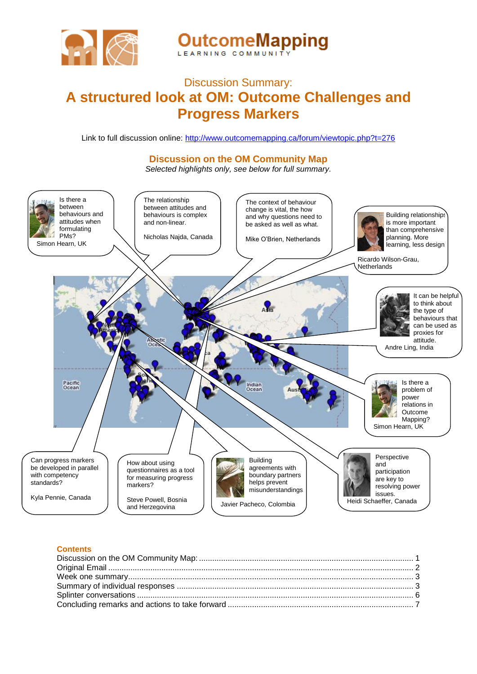

**OutcomeMapping** 

<span id="page-0-0"></span>

# Discussion Summary: **A structured look at OM: Outcome Challenges and Progress Markers**

Link to full discussion online: <http://www.outcomemapping.ca/forum/viewtopic.php?t=276>

# **Discussion on the OM Community Map**

*Selected highlights only, see below for full summary.*



## **Contents**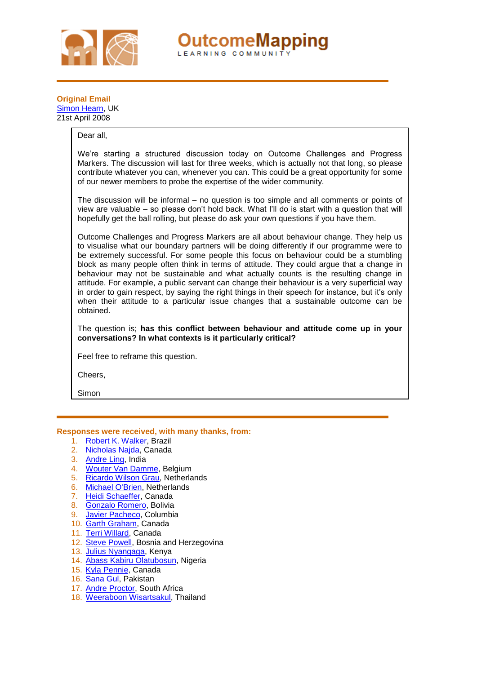

**OutcomeMapping** LEARNING COMMUNI

# <span id="page-1-0"></span>**Original Email**  [Simon Hearn,](http://www.outcomemapping.ca/members/member.php?id=578) UK 21st April 2008

# Dear all,

We're starting a structured discussion today on Outcome Challenges and Progress Markers. The discussion will last for three weeks, which is actually not that long, so please contribute whatever you can, whenever you can. This could be a great opportunity for some of our newer members to probe the expertise of the wider community.

The discussion will be informal – no question is too simple and all comments or points of view are valuable – so please don't hold back. What I'll do is start with a question that will hopefully get the ball rolling, but please do ask your own questions if you have them.

Outcome Challenges and Progress Markers are all about behaviour change. They help us to visualise what our boundary partners will be doing differently if our programme were to be extremely successful. For some people this focus on behaviour could be a stumbling block as many people often think in terms of attitude. They could argue that a change in behaviour may not be sustainable and what actually counts is the resulting change in attitude. For example, a public servant can change their behaviour is a very superficial way in order to gain respect, by saying the right things in their speech for instance, but it's only when their attitude to a particular issue changes that a sustainable outcome can be obtained.

The question is; **has this conflict between behaviour and attitude come up in your conversations? In what contexts is it particularly critical?**

Feel free to reframe this question.

Cheers,

Simon

#### **Responses were received, with many thanks, from:**

- 1. [Robert K. Walker,](http://www.outcomemapping.ca/members/member.php?id=494) Brazil
- 2. [Nicholas Najda,](http://www.outcomemapping.ca/members/member.php?id=288) Canada
- 3. [Andre Ling,](http://www.outcomemapping.ca/members/member.php?id=200) India
- 4. [Wouter Van Damme,](http://www.outcomemapping.ca/members/member.php?id=102) Belgium
- 5. [Ricardo Wilson Grau,](http://www.outcomemapping.ca/members/member.php?id=187) Netherlands
- 6. [Michael O'Brien,](http://www.outcomemapping.ca/members/member.php?id=790) Netherlands
- 7. [Heidi Schaeffer,](http://www.outcomemapping.ca/members/member.php?id=33) Canada
- 8. [Gonzalo Romero,](http://www.outcomemapping.ca/members/member.php?id=291) Bolivia
- 9. [Javier Pacheco,](http://www.outcomemapping.ca/members/member.php?id=149) Columbia
- 10. [Garth Graham,](http://www.outcomemapping.ca/members/member.php?id=910) Canada
- 11. [Terri Willard,](http://www.outcomemapping.ca/members/member.php?id=687) Canada
- 12. [Steve Powell,](http://www.outcomemapping.ca/members/member.php?id=956) Bosnia and Herzegovina
- 13. [Julius Nyangaga,](http://www.outcomemapping.ca/members/member.php?id=44) Kenya
- 14. [Abass Kabiru Olatubosun,](http://www.outcomemapping.ca/members/member.php?id=890) Nigeria
- 15. [Kyla Pennie,](http://www.outcomemapping.ca/members/member.php?id=932) Canada
- 16. [Sana Gul,](http://www.outcomemapping.ca/members/member.php?id=81) Pakistan
- 17. [Andre Proctor,](http://www.outcomemapping.ca/members/member.php?id=339) South Africa
- 18. [Weeraboon Wisartsakul,](http://www.outcomemapping.ca/members/member.php?id=518) Thailand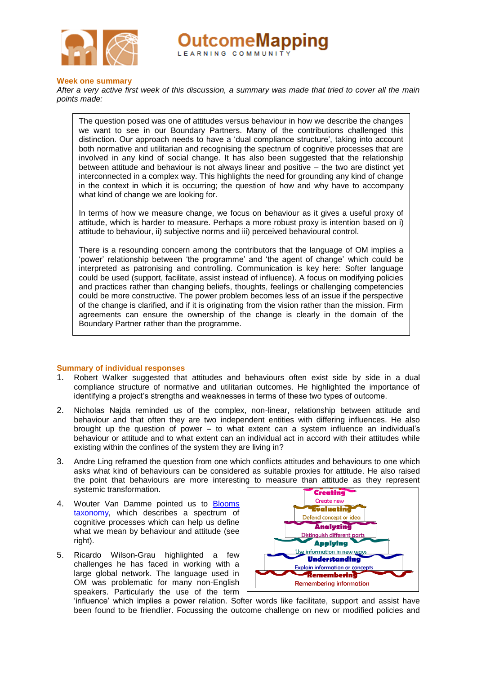

**)utcomeMapping** LEARNING COMMUNIT

#### <span id="page-2-0"></span>**Week one summary**

*After a very active first week of this discussion, a summary was made that tried to cover all the main points made:*

The question posed was one of attitudes versus behaviour in how we describe the changes we want to see in our Boundary Partners. Many of the contributions challenged this distinction. Our approach needs to have a 'dual compliance structure', taking into account both normative and utilitarian and recognising the spectrum of cognitive processes that are involved in any kind of social change. It has also been suggested that the relationship between attitude and behaviour is not always linear and positive – the two are distinct yet interconnected in a complex way. This highlights the need for grounding any kind of change in the context in which it is occurring; the question of how and why have to accompany what kind of change we are looking for.

In terms of how we measure change, we focus on behaviour as it gives a useful proxy of attitude, which is harder to measure. Perhaps a more robust proxy is intention based on i) attitude to behaviour, ii) subjective norms and iii) perceived behavioural control.

There is a resounding concern among the contributors that the language of OM implies a 'power' relationship between 'the programme' and 'the agent of change' which could be interpreted as patronising and controlling. Communication is key here: Softer language could be used (support, facilitate, assist instead of influence). A focus on modifying policies and practices rather than changing beliefs, thoughts, feelings or challenging competencies could be more constructive. The power problem becomes less of an issue if the perspective of the change is clarified, and if it is originating from the vision rather than the mission. Firm agreements can ensure the ownership of the change is clearly in the domain of the Boundary Partner rather than the programme.

#### <span id="page-2-1"></span>**Summary of individual responses**

- 1. Robert Walker suggested that attitudes and behaviours often exist side by side in a dual compliance structure of normative and utilitarian outcomes. He highlighted the importance of identifying a project's strengths and weaknesses in terms of these two types of outcome.
- 2. Nicholas Najda reminded us of the complex, non-linear, relationship between attitude and behaviour and that often they are two independent entities with differing influences. He also brought up the question of power – to what extent can a system influence an individual's behaviour or attitude and to what extent can an individual act in accord with their attitudes while existing within the confines of the system they are living in?
- 3. Andre Ling reframed the question from one which conflicts attitudes and behaviours to one which asks what kind of behaviours can be considered as suitable proxies for attitude. He also raised the point that behaviours are more interesting to measure than attitude as they represent systemic transformation.
- 4. Wouter Van Damme pointed us to [Blooms](http://projects.coe.uga.edu/epltt/index.php?title=Bloom%27s_Taxonomy#Revised_Bloom.27s_Taxonomy_.28RBT.29)  [taxonomy,](http://projects.coe.uga.edu/epltt/index.php?title=Bloom%27s_Taxonomy#Revised_Bloom.27s_Taxonomy_.28RBT.29) which describes a spectrum of cognitive processes which can help us define what we mean by behaviour and attitude (see right).
- 5. Ricardo Wilson-Grau highlighted a few challenges he has faced in working with a large global network. The language used in OM was problematic for many non-English speakers. Particularly the use of the term



'influence' which implies a power relation. Softer words like facilitate, support and assist have been found to be friendlier. Focussing the outcome challenge on new or modified policies and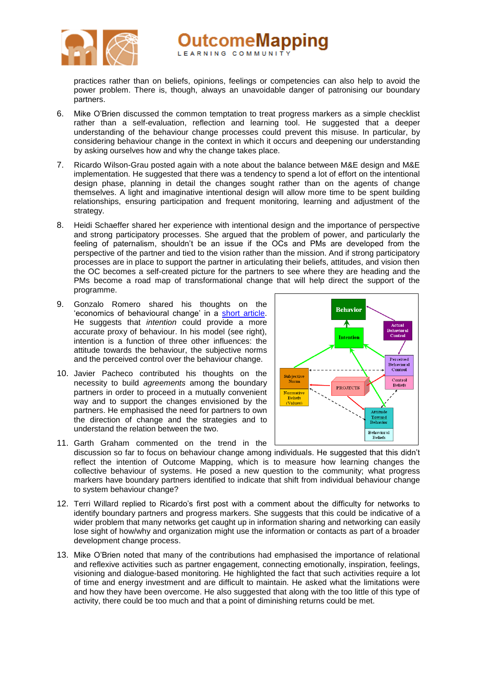

practices rather than on beliefs, opinions, feelings or competencies can also help to avoid the power problem. There is, though, always an unavoidable danger of patronising our boundary partners.

- 6. Mike O'Brien discussed the common temptation to treat progress markers as a simple checklist rather than a self-evaluation, reflection and learning tool. He suggested that a deeper understanding of the behaviour change processes could prevent this misuse. In particular, by considering behaviour change in the context in which it occurs and deepening our understanding by asking ourselves how and why the change takes place.
- 7. Ricardo Wilson-Grau posted again with a note about the balance between M&E design and M&E implementation. He suggested that there was a tendency to spend a lot of effort on the intentional design phase, planning in detail the changes sought rather than on the agents of change themselves. A light and imaginative intentional design will allow more time to be spent building relationships, ensuring participation and frequent monitoring, learning and adjustment of the strategy.
- 8. Heidi Schaeffer shared her experience with intentional design and the importance of perspective and strong participatory processes. She argued that the problem of power, and particularly the feeling of paternalism, shouldn't be an issue if the OCs and PMs are developed from the perspective of the partner and tied to the vision rather than the mission. And if strong participatory processes are in place to support the partner in articulating their beliefs, attitudes, and vision then the OC becomes a self-created picture for the partners to see where they are heading and the PMs become a road map of transformational change that will help direct the support of the programme.
- 9. Gonzalo Romero shared his thoughts on the 'economics of behavioural change' in a [short article.](http://www.outcomemapping.ca/forum/download.php?id=67) He suggests that *intention* could provide a more accurate proxy of behaviour. In his model (see right), intention is a function of three other influences: the attitude towards the behaviour, the subjective norms and the perceived control over the behaviour change.
- 10. Javier Pacheco contributed his thoughts on the necessity to build *agreements* among the boundary partners in order to proceed in a mutually convenient way and to support the changes envisioned by the partners. He emphasised the need for partners to own the direction of change and the strategies and to understand the relation between the two.



- 11. Garth Graham commented on the trend in the discussion so far to focus on behaviour change among individuals. He suggested that this didn't reflect the intention of Outcome Mapping, which is to measure how learning changes the collective behaviour of systems. He posed a new question to the community; what progress markers have boundary partners identified to indicate that shift from individual behaviour change to system behaviour change?
- 12. Terri Willard replied to Ricardo's first post with a comment about the difficulty for networks to identify boundary partners and progress markers. She suggests that this could be indicative of a wider problem that many networks get caught up in information sharing and networking can easily lose sight of how/why and organization might use the information or contacts as part of a broader development change process.
- 13. Mike O'Brien noted that many of the contributions had emphasised the importance of relational and reflexive activities such as partner engagement, connecting emotionally, inspiration, feelings, visioning and dialogue-based monitoring. He highlighted the fact that such activities require a lot of time and energy investment and are difficult to maintain. He asked what the limitations were and how they have been overcome. He also suggested that along with the too little of this type of activity, there could be too much and that a point of diminishing returns could be met.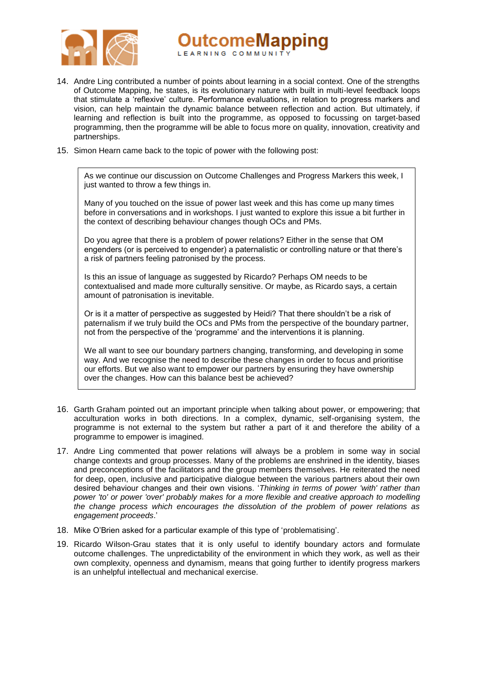

**)utcomeMapping** LEARNING COMMUNI

- 14. Andre Ling contributed a number of points about learning in a social context. One of the strengths of Outcome Mapping, he states, is its evolutionary nature with built in multi-level feedback loops that stimulate a 'reflexive' culture. Performance evaluations, in relation to progress markers and vision, can help maintain the dynamic balance between reflection and action. But ultimately, if learning and reflection is built into the programme, as opposed to focussing on target-based programming, then the programme will be able to focus more on quality, innovation, creativity and partnerships.
- 15. Simon Hearn came back to the topic of power with the following post:

As we continue our discussion on Outcome Challenges and Progress Markers this week, I just wanted to throw a few things in.

Many of you touched on the issue of power last week and this has come up many times before in conversations and in workshops. I just wanted to explore this issue a bit further in the context of describing behaviour changes though OCs and PMs.

Do you agree that there is a problem of power relations? Either in the sense that OM engenders (or is perceived to engender) a paternalistic or controlling nature or that there's a risk of partners feeling patronised by the process.

Is this an issue of language as suggested by Ricardo? Perhaps OM needs to be contextualised and made more culturally sensitive. Or maybe, as Ricardo says, a certain amount of patronisation is inevitable.

Or is it a matter of perspective as suggested by Heidi? That there shouldn't be a risk of paternalism if we truly build the OCs and PMs from the perspective of the boundary partner, not from the perspective of the 'programme' and the interventions it is planning.

We all want to see our boundary partners changing, transforming, and developing in some way. And we recognise the need to describe these changes in order to focus and prioritise our efforts. But we also want to empower our partners by ensuring they have ownership over the changes. How can this balance best be achieved?

- 16. Garth Graham pointed out an important principle when talking about power, or empowering; that acculturation works in both directions. In a complex, dynamic, self-organising system, the programme is not external to the system but rather a part of it and therefore the ability of a programme to empower is imagined.
- 17. Andre Ling commented that power relations will always be a problem in some way in social change contexts and group processes. Many of the problems are enshrined in the identity, biases and preconceptions of the facilitators and the group members themselves. He reiterated the need for deep, open, inclusive and participative dialogue between the various partners about their own desired behaviour changes and their own visions. '*Thinking in terms of power 'with' rather than power 'to' or power 'over' probably makes for a more flexible and creative approach to modelling the change process which encourages the dissolution of the problem of power relations as engagement proceeds*.'
- 18. Mike O'Brien asked for a particular example of this type of 'problematising'.
- 19. Ricardo Wilson-Grau states that it is only useful to identify boundary actors and formulate outcome challenges. The unpredictability of the environment in which they work, as well as their own complexity, openness and dynamism, means that going further to identify progress markers is an unhelpful intellectual and mechanical exercise.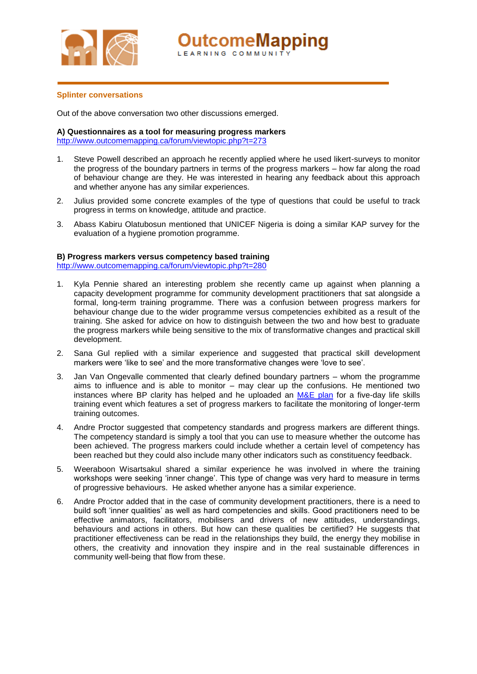

**OutcomeMapping** LEARNING COMMUNI

#### <span id="page-5-0"></span>**Splinter conversations**

Out of the above conversation two other discussions emerged.

#### **A) Questionnaires as a tool for measuring progress markers**

<http://www.outcomemapping.ca/forum/viewtopic.php?t=273>

- 1. Steve Powell described an approach he recently applied where he used likert-surveys to monitor the progress of the boundary partners in terms of the progress markers – how far along the road of behaviour change are they. He was interested in hearing any feedback about this approach and whether anyone has any similar experiences.
- 2. Julius provided some concrete examples of the type of questions that could be useful to track progress in terms on knowledge, attitude and practice.
- 3. Abass Kabiru Olatubosun mentioned that UNICEF Nigeria is doing a similar KAP survey for the evaluation of a hygiene promotion programme.

#### **B) Progress markers versus competency based training**

<http://www.outcomemapping.ca/forum/viewtopic.php?t=280>

- 1. Kyla Pennie shared an interesting problem she recently came up against when planning a capacity development programme for community development practitioners that sat alongside a formal, long-term training programme. There was a confusion between progress markers for behaviour change due to the wider programme versus competencies exhibited as a result of the training. She asked for advice on how to distinguish between the two and how best to graduate the progress markers while being sensitive to the mix of transformative changes and practical skill development.
- 2. Sana Gul replied with a similar experience and suggested that practical skill development markers were 'like to see' and the more transformative changes were 'love to see'.
- 3. Jan Van Ongevalle commented that clearly defined boundary partners whom the programme aims to influence and is able to monitor – may clear up the confusions. He mentioned two instances where BP clarity has helped and he uploaded an [M&E plan](http://www.outcomemapping.ca/resource/resource.php?id=168) for a five-day life skills training event which features a set of progress markers to facilitate the monitoring of longer-term training outcomes.
- 4. Andre Proctor suggested that competency standards and progress markers are different things. The competency standard is simply a tool that you can use to measure whether the outcome has been achieved. The progress markers could include whether a certain level of competency has been reached but they could also include many other indicators such as constituency feedback.
- 5. Weeraboon Wisartsakul shared a similar experience he was involved in where the training workshops were seeking 'inner change'. This type of change was very hard to measure in terms of progressive behaviours. He asked whether anyone has a similar experience.
- 6. Andre Proctor added that in the case of community development practitioners, there is a need to build soft 'inner qualities' as well as hard competencies and skills. Good practitioners need to be effective animators, facilitators, mobilisers and drivers of new attitudes, understandings, behaviours and actions in others. But how can these qualities be certified? He suggests that practitioner effectiveness can be read in the relationships they build, the energy they mobilise in others, the creativity and innovation they inspire and in the real sustainable differences in community well-being that flow from these.